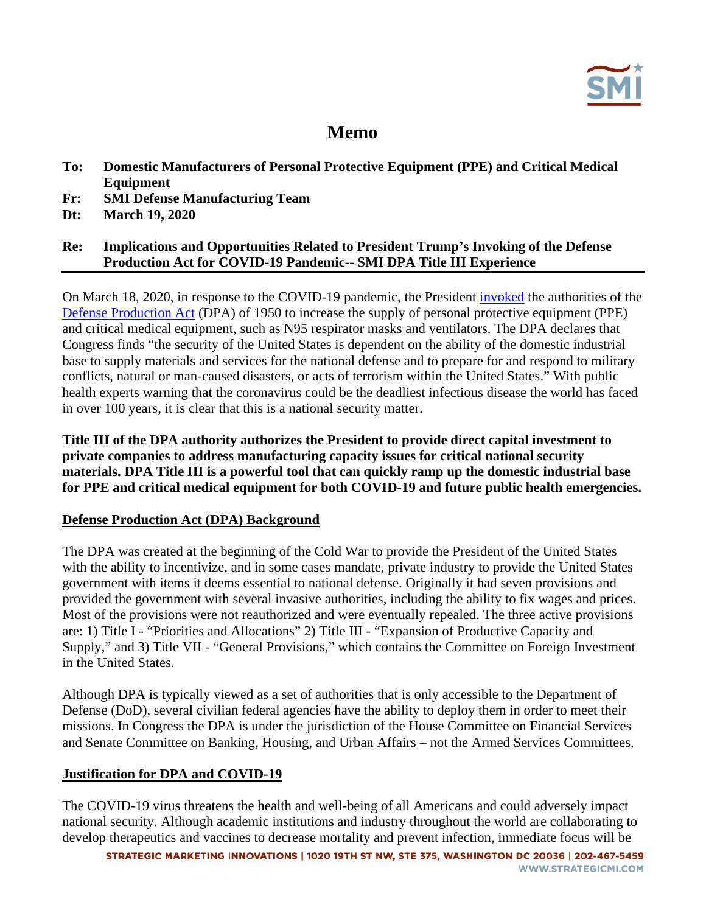# **Memo**

- **To: Domestic Manufacturers of Personal Protective Equipment (PPE) and Critical Medical Equipment**
- **Fr: SMI Defense Manufacturing Team**
- **Dt: March 19, 2020**

## **Re: Implications and Opportunities Related to President Trump's Invoking of the Defense Production Act for COVID-19 Pandemic-- SMI DPA Title III Experience**

On March 18, 2020, in response to the COVID-19 pandemic, the President [invoked](https://www.whitehouse.gov/presidential-actions/executive-order-prioritizing-allocating-health-medical-resources-respond-spread-covid-19/) the authorities of the [Defense Production Act](https://www.businessdefense.gov/Programs/DPA-Title-III/) (DPA) of 1950 to increase the supply of personal protective equipment (PPE) and critical medical equipment, such as N95 respirator masks and ventilators. The DPA declares that Congress finds "the security of the United States is dependent on the ability of the domestic industrial base to supply materials and services for the national defense and to prepare for and respond to military conflicts, natural or man-caused disasters, or acts of terrorism within the United States." With public health experts warning that the coronavirus could be the deadliest infectious disease the world has faced in over 100 years, it is clear that this is a national security matter.

**Title III of the DPA authority authorizes the President to provide direct capital investment to private companies to address manufacturing capacity issues for critical national security materials. DPA Title III is a powerful tool that can quickly ramp up the domestic industrial base for PPE and critical medical equipment for both COVID-19 and future public health emergencies.** 

## **Defense Production Act (DPA) Background**

The DPA was created at the beginning of the Cold War to provide the President of the United States with the ability to incentivize, and in some cases mandate, private industry to provide the United States government with items it deems essential to national defense. Originally it had seven provisions and provided the government with several invasive authorities, including the ability to fix wages and prices. Most of the provisions were not reauthorized and were eventually repealed. The three active provisions are: 1) Title I - "Priorities and Allocations" 2) Title III - "Expansion of Productive Capacity and Supply," and 3) Title VII - "General Provisions," which contains the Committee on Foreign Investment in the United States.

Although DPA is typically viewed as a set of authorities that is only accessible to the Department of Defense (DoD), several civilian federal agencies have the ability to deploy them in order to meet their missions. In Congress the DPA is under the jurisdiction of the House Committee on Financial Services and Senate Committee on Banking, Housing, and Urban Affairs – not the Armed Services Committees.

## **Justification for DPA and COVID-19**

The COVID-19 virus threatens the health and well-being of all Americans and could adversely impact national security. Although academic institutions and industry throughout the world are collaborating to develop therapeutics and vaccines to decrease mortality and prevent infection, immediate focus will be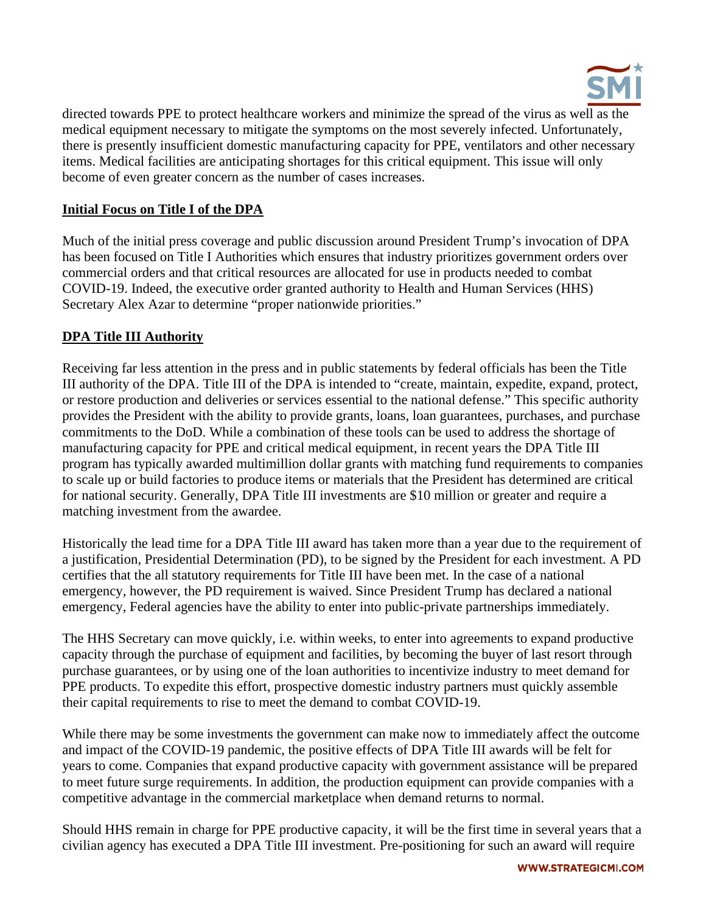

directed towards PPE to protect healthcare workers and minimize the spread of the virus as well as the medical equipment necessary to mitigate the symptoms on the most severely infected. Unfortunately, there is presently insufficient domestic manufacturing capacity for PPE, ventilators and other necessary items. Medical facilities are anticipating shortages for this critical equipment. This issue will only become of even greater concern as the number of cases increases.

## **Initial Focus on Title I of the DPA**

Much of the initial press coverage and public discussion around President Trump's invocation of DPA has been focused on Title I Authorities which ensures that industry prioritizes government orders over commercial orders and that critical resources are allocated for use in products needed to combat COVID-19. Indeed, the executive order granted authority to Health and Human Services (HHS) Secretary Alex Azar to determine "proper nationwide priorities."

# **DPA Title III Authority**

Receiving far less attention in the press and in public statements by federal officials has been the Title III authority of the DPA. Title III of the DPA is intended to "create, maintain, expedite, expand, protect, or restore production and deliveries or services essential to the national defense." This specific authority provides the President with the ability to provide grants, loans, loan guarantees, purchases, and purchase commitments to the DoD. While a combination of these tools can be used to address the shortage of manufacturing capacity for PPE and critical medical equipment, in recent years the DPA Title III program has typically awarded multimillion dollar grants with matching fund requirements to companies to scale up or build factories to produce items or materials that the President has determined are critical for national security. Generally, DPA Title III investments are \$10 million or greater and require a matching investment from the awardee.

Historically the lead time for a DPA Title III award has taken more than a year due to the requirement of a justification, Presidential Determination (PD), to be signed by the President for each investment. A PD certifies that the all statutory requirements for Title III have been met. In the case of a national emergency, however, the PD requirement is waived. Since President Trump has declared a national emergency, Federal agencies have the ability to enter into public-private partnerships immediately.

The HHS Secretary can move quickly, i.e. within weeks, to enter into agreements to expand productive capacity through the purchase of equipment and facilities, by becoming the buyer of last resort through purchase guarantees, or by using one of the loan authorities to incentivize industry to meet demand for PPE products. To expedite this effort, prospective domestic industry partners must quickly assemble their capital requirements to rise to meet the demand to combat COVID-19.

While there may be some investments the government can make now to immediately affect the outcome and impact of the COVID-19 pandemic, the positive effects of DPA Title III awards will be felt for years to come. Companies that expand productive capacity with government assistance will be prepared to meet future surge requirements. In addition, the production equipment can provide companies with a competitive advantage in the commercial marketplace when demand returns to normal.

Should HHS remain in charge for PPE productive capacity, it will be the first time in several years that a civilian agency has executed a DPA Title III investment. Pre-positioning for such an award will require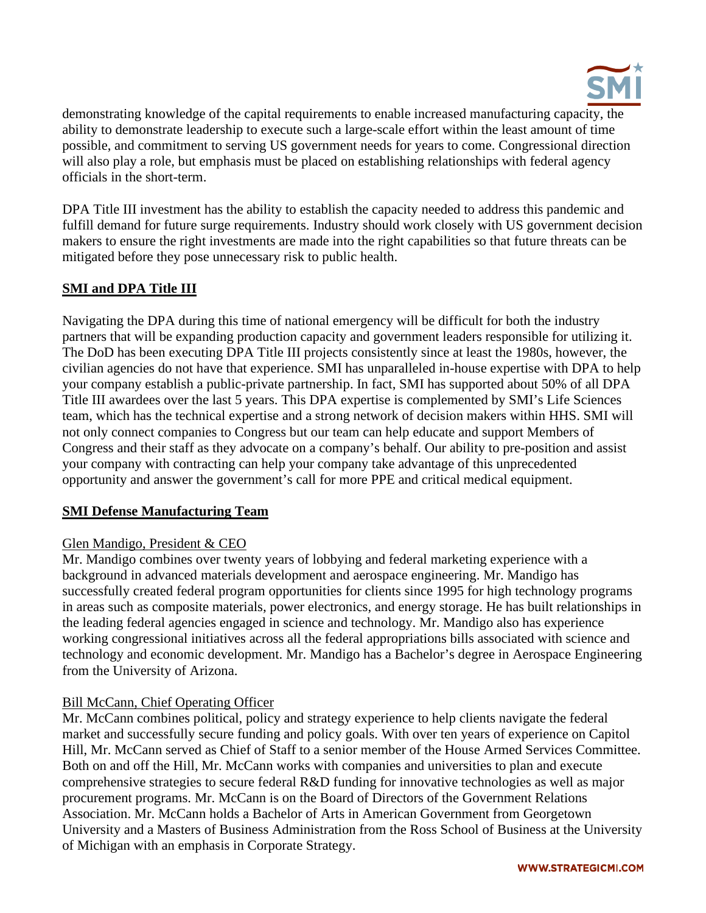

demonstrating knowledge of the capital requirements to enable increased manufacturing capacity, the ability to demonstrate leadership to execute such a large-scale effort within the least amount of time possible, and commitment to serving US government needs for years to come. Congressional direction will also play a role, but emphasis must be placed on establishing relationships with federal agency officials in the short-term.

DPA Title III investment has the ability to establish the capacity needed to address this pandemic and fulfill demand for future surge requirements. Industry should work closely with US government decision makers to ensure the right investments are made into the right capabilities so that future threats can be mitigated before they pose unnecessary risk to public health.

# **SMI and DPA Title III**

Navigating the DPA during this time of national emergency will be difficult for both the industry partners that will be expanding production capacity and government leaders responsible for utilizing it. The DoD has been executing DPA Title III projects consistently since at least the 1980s, however, the civilian agencies do not have that experience. SMI has unparalleled in-house expertise with DPA to help your company establish a public-private partnership. In fact, SMI has supported about 50% of all DPA Title III awardees over the last 5 years. This DPA expertise is complemented by SMI's Life Sciences team, which has the technical expertise and a strong network of decision makers within HHS. SMI will not only connect companies to Congress but our team can help educate and support Members of Congress and their staff as they advocate on a company's behalf. Our ability to pre-position and assist your company with contracting can help your company take advantage of this unprecedented opportunity and answer the government's call for more PPE and critical medical equipment.

#### **SMI Defense Manufacturing Team**

#### Glen Mandigo, President & CEO

Mr. Mandigo combines over twenty years of lobbying and federal marketing experience with a background in advanced materials development and aerospace engineering. Mr. Mandigo has successfully created federal program opportunities for clients since 1995 for high technology programs in areas such as composite materials, power electronics, and energy storage. He has built relationships in the leading federal agencies engaged in science and technology. Mr. Mandigo also has experience working congressional initiatives across all the federal appropriations bills associated with science and technology and economic development. Mr. Mandigo has a Bachelor's degree in Aerospace Engineering from the University of Arizona.

#### Bill McCann, Chief Operating Officer

Mr. McCann combines political, policy and strategy experience to help clients navigate the federal market and successfully secure funding and policy goals. With over ten years of experience on Capitol Hill, Mr. McCann served as Chief of Staff to a senior member of the House Armed Services Committee. Both on and off the Hill, Mr. McCann works with companies and universities to plan and execute comprehensive strategies to secure federal R&D funding for innovative technologies as well as major procurement programs. Mr. McCann is on the Board of Directors of the Government Relations Association. Mr. McCann holds a Bachelor of Arts in American Government from Georgetown University and a Masters of Business Administration from the Ross School of Business at the University of Michigan with an emphasis in Corporate Strategy.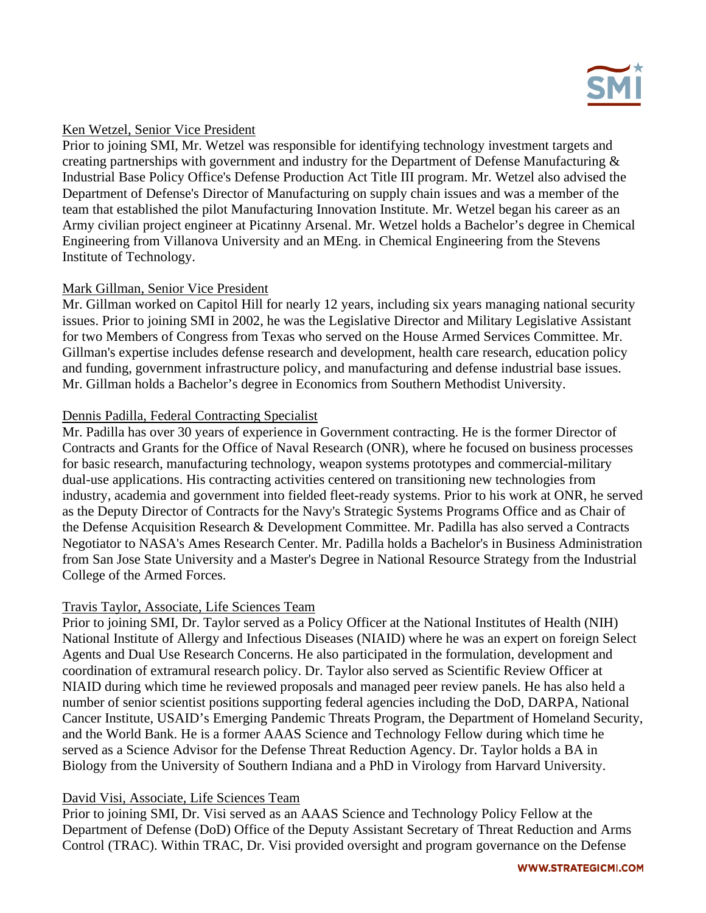

#### Ken Wetzel, Senior Vice President

Prior to joining SMI, Mr. Wetzel was responsible for identifying technology investment targets and creating partnerships with government and industry for the Department of Defense Manufacturing & Industrial Base Policy Office's Defense Production Act Title III program. Mr. Wetzel also advised the Department of Defense's Director of Manufacturing on supply chain issues and was a member of the team that established the pilot Manufacturing Innovation Institute. Mr. Wetzel began his career as an Army civilian project engineer at Picatinny Arsenal. Mr. Wetzel holds a Bachelor's degree in Chemical Engineering from Villanova University and an MEng. in Chemical Engineering from the Stevens Institute of Technology.

## Mark Gillman, Senior Vice President

Mr. Gillman worked on Capitol Hill for nearly 12 years, including six years managing national security issues. Prior to joining SMI in 2002, he was the Legislative Director and Military Legislative Assistant for two Members of Congress from Texas who served on the House Armed Services Committee. Mr. Gillman's expertise includes defense research and development, health care research, education policy and funding, government infrastructure policy, and manufacturing and defense industrial base issues. Mr. Gillman holds a Bachelor's degree in Economics from Southern Methodist University.

## Dennis Padilla, Federal Contracting Specialist

Mr. Padilla has over 30 years of experience in Government contracting. He is the former Director of Contracts and Grants for the Office of Naval Research (ONR), where he focused on business processes for basic research, manufacturing technology, weapon systems prototypes and commercial-military dual-use applications. His contracting activities centered on transitioning new technologies from industry, academia and government into fielded fleet-ready systems. Prior to his work at ONR, he served as the Deputy Director of Contracts for the Navy's Strategic Systems Programs Office and as Chair of the Defense Acquisition Research & Development Committee. Mr. Padilla has also served a Contracts Negotiator to NASA's Ames Research Center. Mr. Padilla holds a Bachelor's in Business Administration from San Jose State University and a Master's Degree in National Resource Strategy from the Industrial College of the Armed Forces.

#### Travis Taylor, Associate, Life Sciences Team

Prior to joining SMI, Dr. Taylor served as a Policy Officer at the National Institutes of Health (NIH) National Institute of Allergy and Infectious Diseases (NIAID) where he was an expert on foreign Select Agents and Dual Use Research Concerns. He also participated in the formulation, development and coordination of extramural research policy. Dr. Taylor also served as Scientific Review Officer at NIAID during which time he reviewed proposals and managed peer review panels. He has also held a number of senior scientist positions supporting federal agencies including the DoD, DARPA, National Cancer Institute, USAID's Emerging Pandemic Threats Program, the Department of Homeland Security, and the World Bank. He is a former AAAS Science and Technology Fellow during which time he served as a Science Advisor for the Defense Threat Reduction Agency. Dr. Taylor holds a BA in Biology from the University of Southern Indiana and a PhD in Virology from Harvard University.

#### David Visi, Associate, Life Sciences Team

Prior to joining SMI, Dr. Visi served as an AAAS Science and Technology Policy Fellow at the Department of Defense (DoD) Office of the Deputy Assistant Secretary of Threat Reduction and Arms Control (TRAC). Within TRAC, Dr. Visi provided oversight and program governance on the Defense